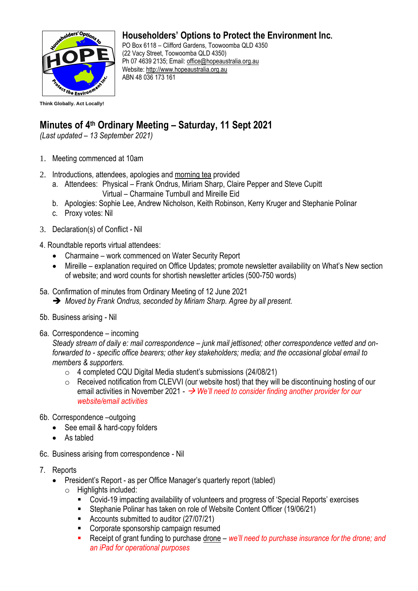

## **Householders' Options to Protect the Environment Inc.**

PO Box 6118 – Clifford Gardens, Toowoomba QLD 4350 (22 Vacy Street, Toowoomba QLD 4350) Ph 07 4639 2135; Email: [office@hopeaustralia.org.au](mailto:office@hopeaustralia.org.au)  Website: [http://www.hopeaustralia.org.au](http://www.hopeaustralia.org.au/) ABN 48 036 173 161

## **Minutes of 4 th Ordinary Meeting – Saturday, 11 Sept 2021**

*(Last updated – 13 September 2021)*

- 1. Meeting commenced at 10am
- 2. Introductions, attendees, apologies and morning tea provided
	- a. Attendees: Physical Frank Ondrus, Miriam Sharp, Claire Pepper and Steve Cupitt Virtual – Charmaine Turnbull and Mireille Eid
	- b. Apologies: Sophie Lee, Andrew Nicholson, Keith Robinson, Kerry Kruger and Stephanie Polinar
	- c. Proxy votes: Nil
- 3. Declaration(s) of Conflict Nil
- 4. Roundtable reports virtual attendees:
	- Charmaine work commenced on Water Security Report
	- Mireille explanation required on Office Updates; promote newsletter availability on What's New section of website; and word counts for shortish newsletter articles (500-750 words)
- 5a. Confirmation of minutes from Ordinary Meeting of 12 June 2021
	- ➔ *Moved by Frank Ondrus, seconded by Miriam Sharp. Agree by all present.*
- 5b. Business arising Nil
- 6a. Correspondence incoming

*Steady stream of daily e: mail correspondence – junk mail jettisoned; other correspondence vetted and onforwarded to - specific office bearers; other key stakeholders; media; and the occasional global email to members & supporters.* 

- o 4 completed CQU Digital Media student's submissions (24/08/21)
- o Received notification from CLEVVI (our website host) that they will be discontinuing hosting of our email activities in November 2021 - → *We'll need to consider finding another provider for our website/email activities*
- 6b. Correspondence –outgoing
	- See email & hard-copy folders
	- As tabled
- 6c. Business arising from correspondence Nil
- 7. Reports
	- President's Report as per Office Manager's quarterly report (tabled)
		- $\circ$  Highlights included:
			- Covid-19 impacting availability of volunteers and progress of 'Special Reports' exercises
			- Stephanie Polinar has taken on role of Website Content Officer (19/06/21)
			- Accounts submitted to auditor (27/07/21)
			- Corporate sponsorship campaign resumed
			- Receipt of grant funding to purchase drone *we'll need to purchase insurance for the drone; and an iPad for operational purposes*